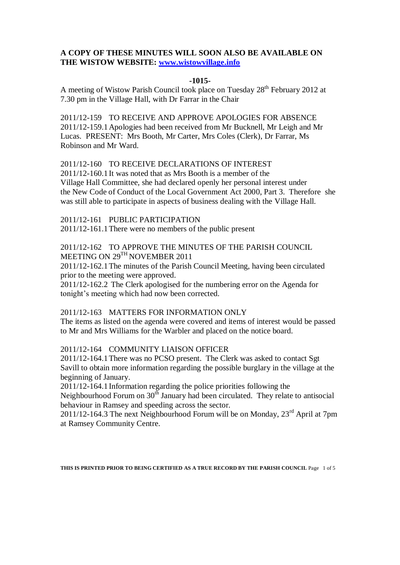### **A COPY OF THESE MINUTES WILL SOON ALSO BE AVAILABLE ON THE WISTOW WEBSITE: [www.wistowvillage.info](http://www.wistowvillage.info/)**

#### **-1015-**

A meeting of Wistow Parish Council took place on Tuesday 28<sup>th</sup> February 2012 at 7.30 pm in the Village Hall, with Dr Farrar in the Chair

2011/12-159 TO RECEIVE AND APPROVE APOLOGIES FOR ABSENCE 2011/12-159.1Apologies had been received from Mr Bucknell, Mr Leigh and Mr Lucas. PRESENT: Mrs Booth, Mr Carter, Mrs Coles (Clerk), Dr Farrar, Ms Robinson and Mr Ward.

#### 2011/12-160 TO RECEIVE DECLARATIONS OF INTEREST

2011/12-160.1It was noted that as Mrs Booth is a member of the Village Hall Committee, she had declared openly her personal interest under the New Code of Conduct of the Local Government Act 2000, Part 3. Therefore she was still able to participate in aspects of business dealing with the Village Hall.

2011/12-161 PUBLIC PARTICIPATION

2011/12-161.1There were no members of the public present

# 2011/12-162 TO APPROVE THE MINUTES OF THE PARISH COUNCIL MEETING ON 29TH NOVEMBER 2011

2011/12-162.1The minutes of the Parish Council Meeting, having been circulated prior to the meeting were approved.

2011/12-162.2 The Clerk apologised for the numbering error on the Agenda for tonight's meeting which had now been corrected.

### 2011/12-163 MATTERS FOR INFORMATION ONLY

The items as listed on the agenda were covered and items of interest would be passed to Mr and Mrs Williams for the Warbler and placed on the notice board.

### 2011/12-164 COMMUNITY LIAISON OFFICER

2011/12-164.1There was no PCSO present. The Clerk was asked to contact Sgt Savill to obtain more information regarding the possible burglary in the village at the beginning of January.

2011/12-164.1Information regarding the police priorities following the

Neighbourhood Forum on 30<sup>th</sup> January had been circulated. They relate to antisocial behaviour in Ramsey and speeding across the sector.

2011/12-164.3 The next Neighbourhood Forum will be on Monday,  $23<sup>rd</sup>$  April at 7pm at Ramsey Community Centre.

**THIS IS PRINTED PRIOR TO BEING CERTIFIED AS A TRUE RECORD BY THE PARISH COUNCIL** Page 1 of 5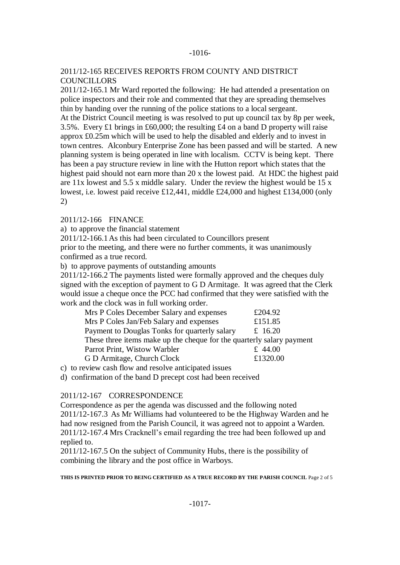#### -1016-

### 2011/12-165 RECEIVES REPORTS FROM COUNTY AND DISTRICT **COUNCILLORS**

2011/12-165.1 Mr Ward reported the following: He had attended a presentation on police inspectors and their role and commented that they are spreading themselves thin by handing over the running of the police stations to a local sergeant. At the District Council meeting is was resolved to put up council tax by 8p per week,

3.5%. Every £1 brings in £60,000; the resulting £4 on a band D property will raise approx £0.25m which will be used to help the disabled and elderly and to invest in town centres. Alconbury Enterprise Zone has been passed and will be started. A new planning system is being operated in line with localism. CCTV is being kept. There has been a pay structure review in line with the Hutton report which states that the highest paid should not earn more than 20 x the lowest paid. At HDC the highest paid are 11x lowest and 5.5 x middle salary. Under the review the highest would be 15 x lowest, i.e. lowest paid receive £12,441, middle £24,000 and highest £134,000 (only 2)

2011/12-166 FINANCE

a) to approve the financial statement

2011/12-166.1As this had been circulated to Councillors present

prior to the meeting, and there were no further comments, it was unanimously confirmed as a true record.

b) to approve payments of outstanding amounts

2011/12-166.2 The payments listed were formally approved and the cheques duly signed with the exception of payment to G D Armitage. It was agreed that the Clerk would issue a cheque once the PCC had confirmed that they were satisfied with the work and the clock was in full working order.

| £204.92                                                               |
|-----------------------------------------------------------------------|
| £151.85                                                               |
| £ 16.20                                                               |
| These three items make up the cheque for the quarterly salary payment |
| £ 44.00                                                               |
| £1320.00                                                              |
|                                                                       |

c) to review cash flow and resolve anticipated issues

d) confirmation of the band D precept cost had been received

### 2011/12-167 CORRESPONDENCE

Correspondence as per the agenda was discussed and the following noted 2011/12-167.3 As Mr Williams had volunteered to be the Highway Warden and he had now resigned from the Parish Council, it was agreed not to appoint a Warden. 2011/12-167.4 Mrs Cracknell's email regarding the tree had been followed up and replied to.

2011/12-167.5 On the subject of Community Hubs, there is the possibility of combining the library and the post office in Warboys.

**THIS IS PRINTED PRIOR TO BEING CERTIFIED AS A TRUE RECORD BY THE PARISH COUNCIL** Page 2 of 5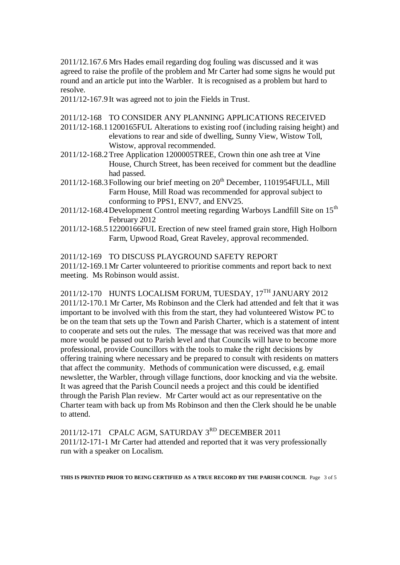2011/12.167.6 Mrs Hades email regarding dog fouling was discussed and it was agreed to raise the profile of the problem and Mr Carter had some signs he would put round and an article put into the Warbler. It is recognised as a problem but hard to resolve.

2011/12-167.9It was agreed not to join the Fields in Trust.

- 2011/12-168 TO CONSIDER ANY PLANNING APPLICATIONS RECEIVED
- 2011/12-168.11200165FUL Alterations to existing roof (including raising height) and elevations to rear and side of dwelling, Sunny View, Wistow Toll, Wistow, approval recommended.
- 2011/12-168.2Tree Application 1200005TREE, Crown thin one ash tree at Vine House, Church Street, has been received for comment but the deadline had passed.
- $2011/12-168.3$  Following our brief meeting on  $20<sup>th</sup>$  December, 1101954 FULL, Mill Farm House, Mill Road was recommended for approval subject to conforming to PPS1, ENV7, and ENV25.
- $2011/12-168.4$  Development Control meeting regarding Warboys Landfill Site on  $15<sup>th</sup>$ February 2012
- 2011/12-168.512200166FUL Erection of new steel framed grain store, High Holborn Farm, Upwood Road, Great Raveley, approval recommended.

2011/12-169 TO DISCUSS PLAYGROUND SAFETY REPORT

2011/12-169.1Mr Carter volunteered to prioritise comments and report back to next meeting. Ms Robinson would assist.

2011/12-170 HUNTS LOCALISM FORUM, TUESDAY, 17TH JANUARY 2012 2011/12-170.1 Mr Carter, Ms Robinson and the Clerk had attended and felt that it was important to be involved with this from the start, they had volunteered Wistow PC to be on the team that sets up the Town and Parish Charter, which is a statement of intent to cooperate and sets out the rules. The message that was received was that more and more would be passed out to Parish level and that Councils will have to become more professional, provide Councillors with the tools to make the right decisions by offering training where necessary and be prepared to consult with residents on matters that affect the community. Methods of communication were discussed, e.g. email newsletter, the Warbler, through village functions, door knocking and via the website. It was agreed that the Parish Council needs a project and this could be identified through the Parish Plan review. Mr Carter would act as our representative on the Charter team with back up from Ms Robinson and then the Clerk should he be unable to attend.

2011/12-171 CPALC AGM, SATURDAY 3<sup>RD</sup> DECEMBER 2011 2011/12-171-1 Mr Carter had attended and reported that it was very professionally run with a speaker on Localism.

**THIS IS PRINTED PRIOR TO BEING CERTIFIED AS A TRUE RECORD BY THE PARISH COUNCIL** Page 3 of 5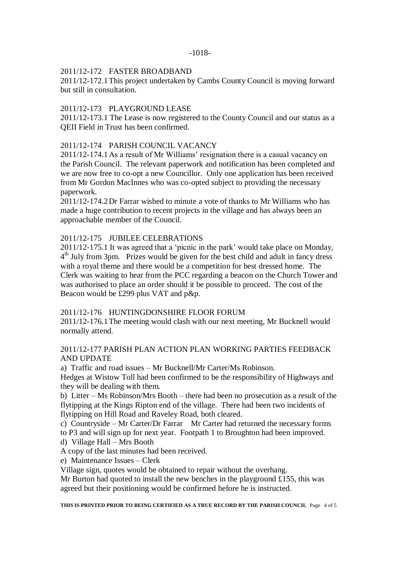## 2011/12-172 FASTER BROADBAND

2011/12-172.1This project undertaken by Cambs County Council is moving forward but still in consultation.

### 2011/12-173 PLAYGROUND LEASE

2011/12-173.1 The Lease is now registered to the County Council and our status as a QEII Field in Trust has been confirmed.

# 2011/12-174 PARISH COUNCIL VACANCY

2011/12-174.1As a result of Mr Williams' resignation there is a casual vacancy on the Parish Council. The relevant paperwork and notification has been completed and we are now free to co-opt a new Councillor. Only one application has been received from Mr Gordon MacInnes who was co-opted subject to providing the necessary paperwork.

2011/12-174.2Dr Farrar wished to minute a vote of thanks to Mr Williams who has made a huge contribution to recent projects in the village and has always been an approachable member of the Council.

## 2011/12-175 JUBILEE CELEBRATIONS

2011/12-175.1 It was agreed that a 'picnic in the park' would take place on Monday, 4<sup>th</sup> July from 3pm. Prizes would be given for the best child and adult in fancy dress with a royal theme and there would be a competition for best dressed home. The Clerk was waiting to hear from the PCC regarding a beacon on the Church Tower and was authorised to place an order should it be possible to proceed. The cost of the Beacon would be £299 plus VAT and p&p.

### 2011/12-176 HUNTINGDONSHIRE FLOOR FORUM

2011/12-176.1The meeting would clash with our next meeting, Mr Bucknell would normally attend.

# 2011/12-177 PARISH PLAN ACTION PLAN WORKING PARTIES FEEDBACK AND UPDATE

a) Traffic and road issues – Mr Bucknell/Mr Carter/Ms Robinson.

Hedges at Wistow Toll had been confirmed to be the responsibility of Highways and they will be dealing with them.

b) Litter – Ms Robinson/Mrs Booth – there had been no prosecution as a result of the flytipping at the Kings Ripton end of the village. There had been two incidents of flytipping on Hill Road and Raveley Road, both cleared.

c) Countryside – Mr Carter/Dr Farrar Mr Carter had returned the necessary forms

to P3 and will sign up for next year. Footpath 1 to Broughton had been improved.

- d) Village Hall Mrs Booth
- A copy of the last minutes had been received.

e) Maintenance Issues – Clerk

Village sign, quotes would be obtained to repair without the overhang.

Mr Burton had quoted to install the new benches in the playground £155, this was agreed but their positioning would be confirmed before he is instructed.

**THIS IS PRINTED PRIOR TO BEING CERTIFIED AS A TRUE RECORD BY THE PARISH COUNCIL** Page 4 of 5